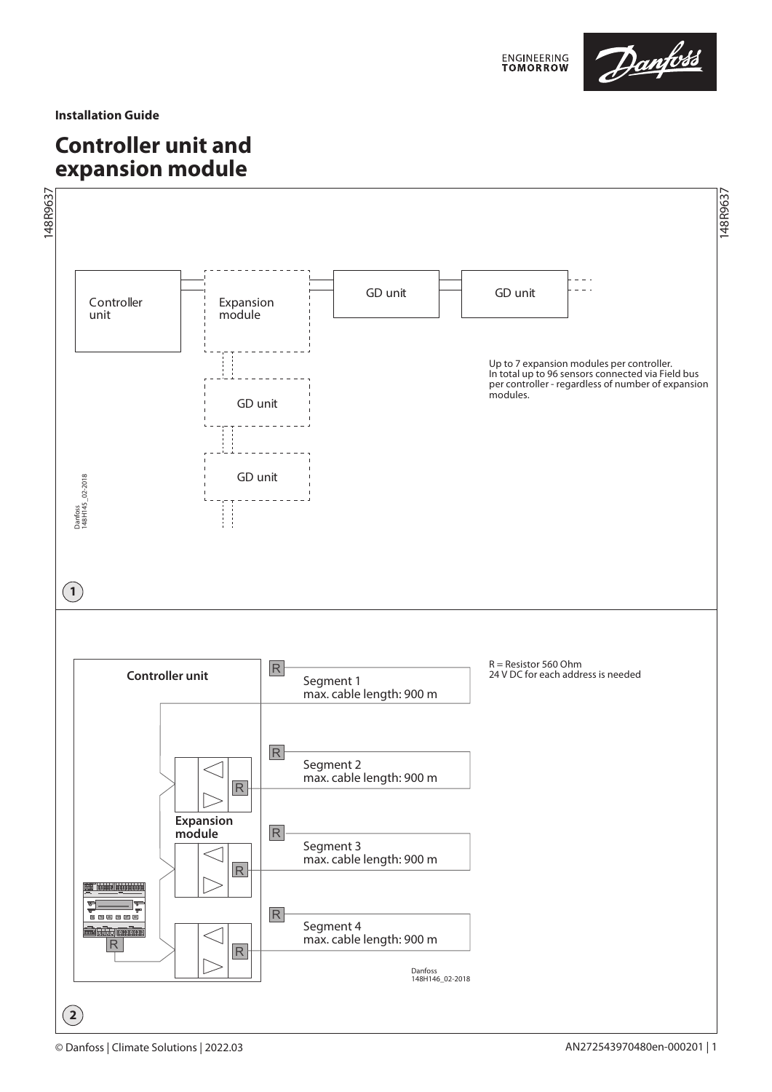

**Installation Guide**

# **Controller unit and expansion module**

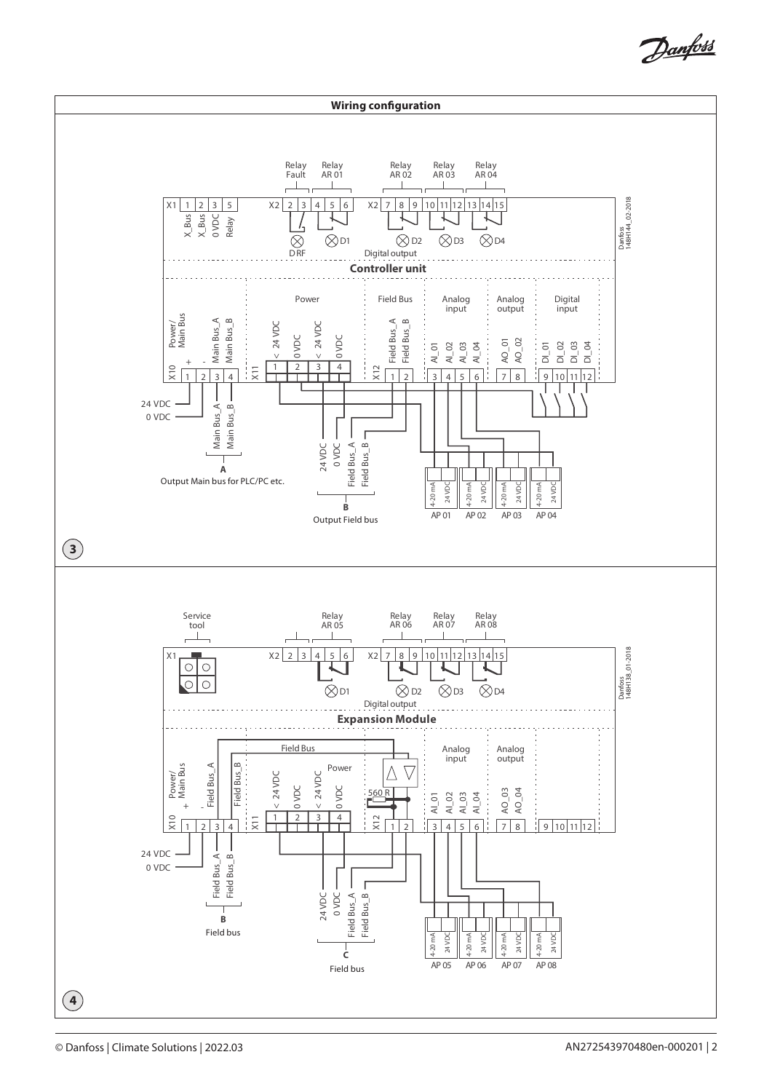Danfoss

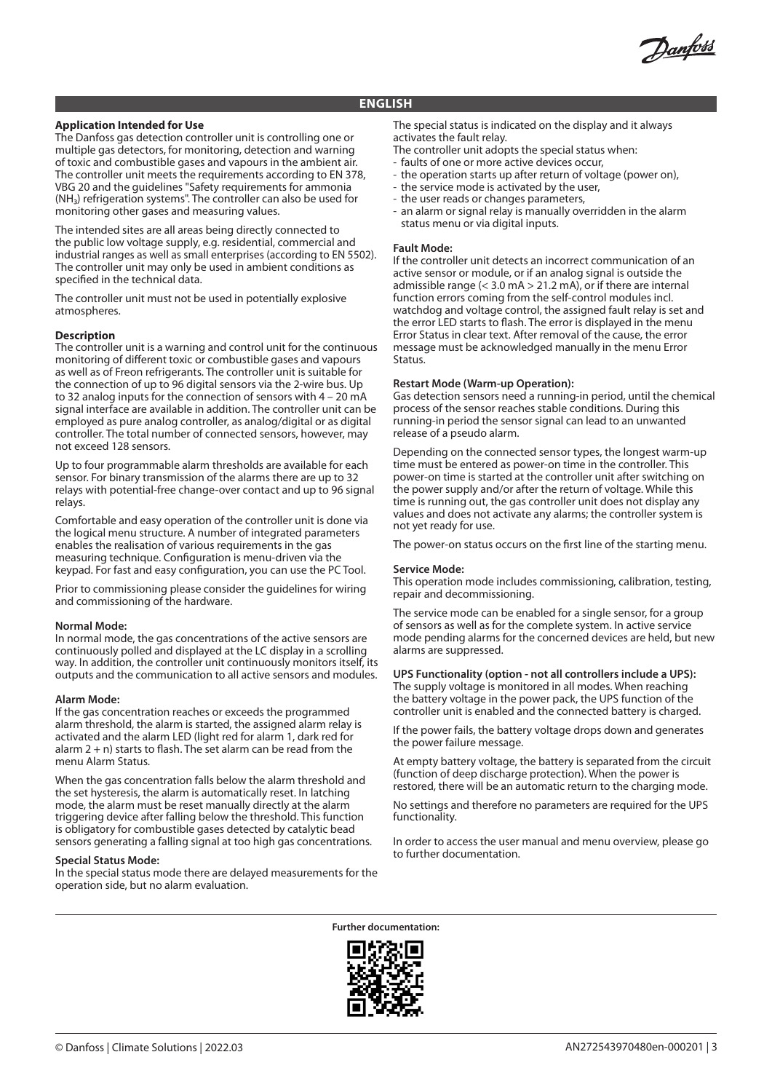Danforso

## **ENGLISH**

## **Application Intended for Use**

The Danfoss gas detection controller unit is controlling one or multiple gas detectors, for monitoring, detection and warning of toxic and combustible gases and vapours in the ambient air. The controller unit meets the requirements according to EN 378, VBG 20 and the guidelines "Safety requirements for ammonia (NH₃) refrigeration systems". The controller can also be used for monitoring other gases and measuring values.

The intended sites are all areas being directly connected to the public low voltage supply, e.g. residential, commercial and industrial ranges as well as small enterprises (according to EN 5502). The controller unit may only be used in ambient conditions as specified in the technical data.

The controller unit must not be used in potentially explosive atmospheres.

## **Description**

The controller unit is a warning and control unit for the continuous monitoring of different toxic or combustible gases and vapours as well as of Freon refrigerants. The controller unit is suitable for the connection of up to 96 digital sensors via the 2-wire bus. Up to 32 analog inputs for the connection of sensors with 4 – 20 mA signal interface are available in addition. The controller unit can be employed as pure analog controller, as analog/digital or as digital controller. The total number of connected sensors, however, may not exceed 128 sensors.

Up to four programmable alarm thresholds are available for each sensor. For binary transmission of the alarms there are up to 32 relays with potential-free change-over contact and up to 96 signal relays.

Comfortable and easy operation of the controller unit is done via the logical menu structure. A number of integrated parameters enables the realisation of various requirements in the gas measuring technique. Configuration is menu-driven via the keypad. For fast and easy configuration, you can use the PC Tool.

Prior to commissioning please consider the guidelines for wiring and commissioning of the hardware.

### **Normal Mode:**

In normal mode, the gas concentrations of the active sensors are continuously polled and displayed at the LC display in a scrolling way. In addition, the controller unit continuously monitors itself, its outputs and the communication to all active sensors and modules.

### **Alarm Mode:**

If the gas concentration reaches or exceeds the programmed alarm threshold, the alarm is started, the assigned alarm relay is activated and the alarm LED (light red for alarm 1, dark red for alarm  $2 + n$ ) starts to flash. The set alarm can be read from the menu Alarm Status.

When the gas concentration falls below the alarm threshold and the set hysteresis, the alarm is automatically reset. In latching mode, the alarm must be reset manually directly at the alarm triggering device after falling below the threshold. This function is obligatory for combustible gases detected by catalytic bead sensors generating a falling signal at too high gas concentrations.

### **Special Status Mode:**

In the special status mode there are delayed measurements for the operation side, but no alarm evaluation.

The special status is indicated on the display and it always activates the fault relay.

- The controller unit adopts the special status when:
- faults of one or more active devices occur,
- the operation starts up after return of voltage (power on),
- the service mode is activated by the user,
- the user reads or changes parameters,
- an alarm or signal relay is manually overridden in the alarm status menu or via digital inputs.

#### **Fault Mode:**

If the controller unit detects an incorrect communication of an active sensor or module, or if an analog signal is outside the admissible range (< 3.0 mA > 21.2 mA), or if there are internal function errors coming from the self-control modules incl. watchdog and voltage control, the assigned fault relay is set and the error LED starts to flash. The error is displayed in the menu Error Status in clear text. After removal of the cause, the error message must be acknowledged manually in the menu Error Status.

### **Restart Mode (Warm-up Operation):**

Gas detection sensors need a running-in period, until the chemical process of the sensor reaches stable conditions. During this running-in period the sensor signal can lead to an unwanted release of a pseudo alarm.

Depending on the connected sensor types, the longest warm-up time must be entered as power-on time in the controller. This power-on time is started at the controller unit after switching on the power supply and/or after the return of voltage. While this time is running out, the gas controller unit does not display any values and does not activate any alarms; the controller system is not yet ready for use.

The power-on status occurs on the first line of the starting menu.

#### **Service Mode:**

This operation mode includes commissioning, calibration, testing, repair and decommissioning.

The service mode can be enabled for a single sensor, for a group of sensors as well as for the complete system. In active service mode pending alarms for the concerned devices are held, but new alarms are suppressed.

## **UPS Functionality (option - not all controllers include a UPS):**

The supply voltage is monitored in all modes. When reaching the battery voltage in the power pack, the UPS function of the controller unit is enabled and the connected battery is charged.

If the power fails, the battery voltage drops down and generates the power failure message.

At empty battery voltage, the battery is separated from the circuit (function of deep discharge protection). When the power is restored, there will be an automatic return to the charging mode.

No settings and therefore no parameters are required for the UPS functionality.

In order to access the user manual and menu overview, please go to further documentation.

**Further documentation:**